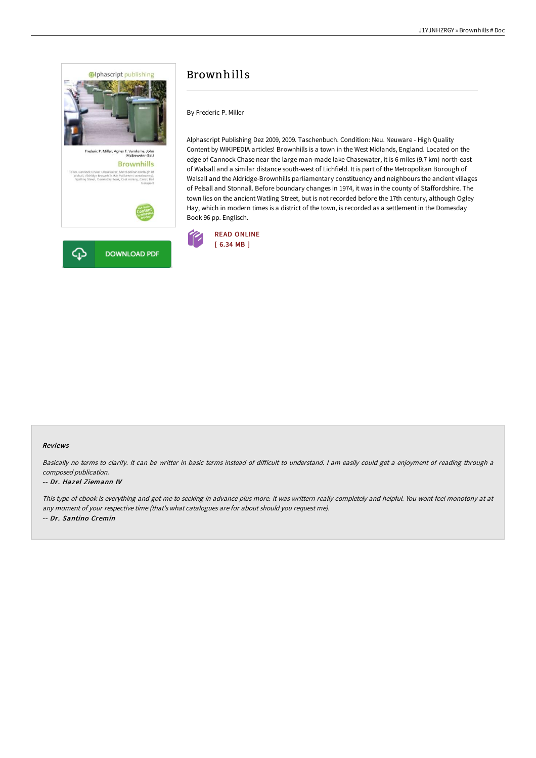

**DOWNLOAD PDF** 

## Brownhills

By Frederic P. Miller

Alphascript Publishing Dez 2009, 2009. Taschenbuch. Condition: Neu. Neuware - High Quality Content by WIKIPEDIA articles! Brownhills is a town in the West Midlands, England. Located on the edge of Cannock Chase near the large man-made lake Chasewater, it is 6 miles (9.7 km) north-east of Walsall and a similar distance south-west of Lichfield. It is part of the Metropolitan Borough of Walsall and the Aldridge-Brownhills parliamentary constituency and neighbours the ancient villages of Pelsall and Stonnall. Before boundary changes in 1974, it was in the county of Staffordshire. The town lies on the ancient Watling Street, but is not recorded before the 17th century, although Ogley Hay, which in modern times is a district of the town, is recorded as a settlement in the Domesday Book 96 pp. Englisch.



## Reviews

Basically no terms to clarify. It can be writter in basic terms instead of difficult to understand. I am easily could get a enjoyment of reading through a composed publication.

## -- Dr. Hazel Ziemann IV

⊕

This type of ebook is everything and got me to seeking in advance plus more. it was writtern really completely and helpful. You wont feel monotony at at any moment of your respective time (that's what catalogues are for about should you request me). -- Dr. Santino Cremin